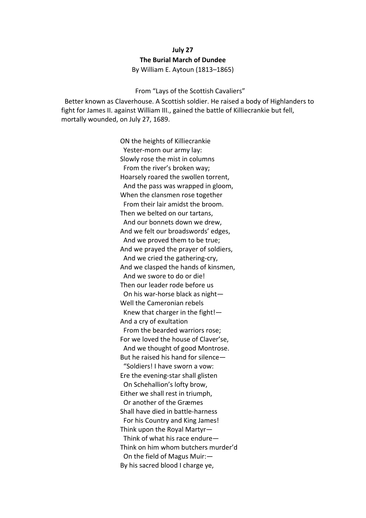## **July 27 The Burial March of Dundee** By William E. Aytoun (1813–1865)

From "Lays of the Scottish Cavaliers"

Better known as Claverhouse. A Scottish soldier. He raised a body of Highlanders to fight for James II. against William III., gained the battle of Killiecrankie but fell, mortally wounded, on July 27, 1689.

> ON the heights of Killiecrankie Yester-morn our army lay: Slowly rose the mist in columns From the river's broken way; Hoarsely roared the swollen torrent, And the pass was wrapped in gloom, When the clansmen rose together From their lair amidst the broom. Then we belted on our tartans. And our bonnets down we drew, And we felt our broadswords' edges, And we proved them to be true; And we prayed the prayer of soldiers, And we cried the gathering-cry, And we clasped the hands of kinsmen. And we swore to do or die! Then our leader rode before us On his war-horse black as night-Well the Cameronian rebels Knew that charger in the fight! $-$ And a cry of exultation From the bearded warriors rose; For we loved the house of Claver'se, And we thought of good Montrose. But he raised his hand for silence-"Soldiers! I have sworn a vow: Ere the evening-star shall glisten On Schehallion's lofty brow, Either we shall rest in triumph, Or another of the Græmes Shall have died in battle-harness For his Country and King James! Think upon the Royal Martyr-Think of what his race endure— Think on him whom butchers murder'd On the field of Magus Muir:-By his sacred blood I charge ye,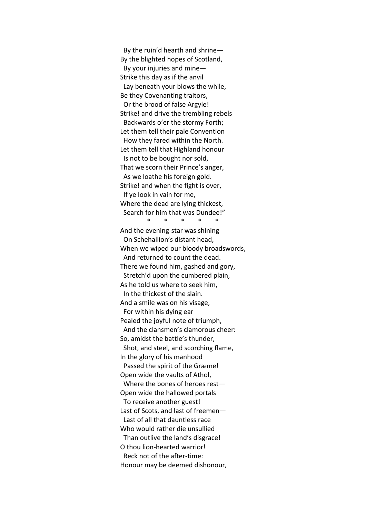By the ruin'd hearth and shrine-By the blighted hopes of Scotland, By your injuries and mine-Strike this day as if the anvil Lay beneath your blows the while, Be they Covenanting traitors, Or the brood of false Argyle! Strike! and drive the trembling rebels Backwards o'er the stormy Forth; Let them tell their pale Convention How they fared within the North. Let them tell that Highland honour Is not to be bought nor sold, That we scorn their Prince's anger, As we loathe his foreign gold. Strike! and when the fight is over, If ye look in vain for me, Where the dead are lying thickest, Search for him that was Dundee!"

 $*$   $*$   $*$   $*$   $*$   $*$ 

And the evening-star was shining On Schehallion's distant head, When we wiped our bloody broadswords, And returned to count the dead. There we found him, gashed and gory, Stretch'd upon the cumbered plain, As he told us where to seek him, In the thickest of the slain. And a smile was on his visage, For within his dying ear Pealed the joyful note of triumph, And the clansmen's clamorous cheer: So, amidst the battle's thunder, Shot, and steel, and scorching flame, In the glory of his manhood Passed the spirit of the Græme! Open wide the vaults of Athol. Where the bones of heroes  $rest-$ Open wide the hallowed portals To receive another guest! Last of Scots, and last of freemen-Last of all that dauntless race Who would rather die unsullied Than outlive the land's disgrace! O thou lion-hearted warrior! Reck not of the after-time: Honour may be deemed dishonour,